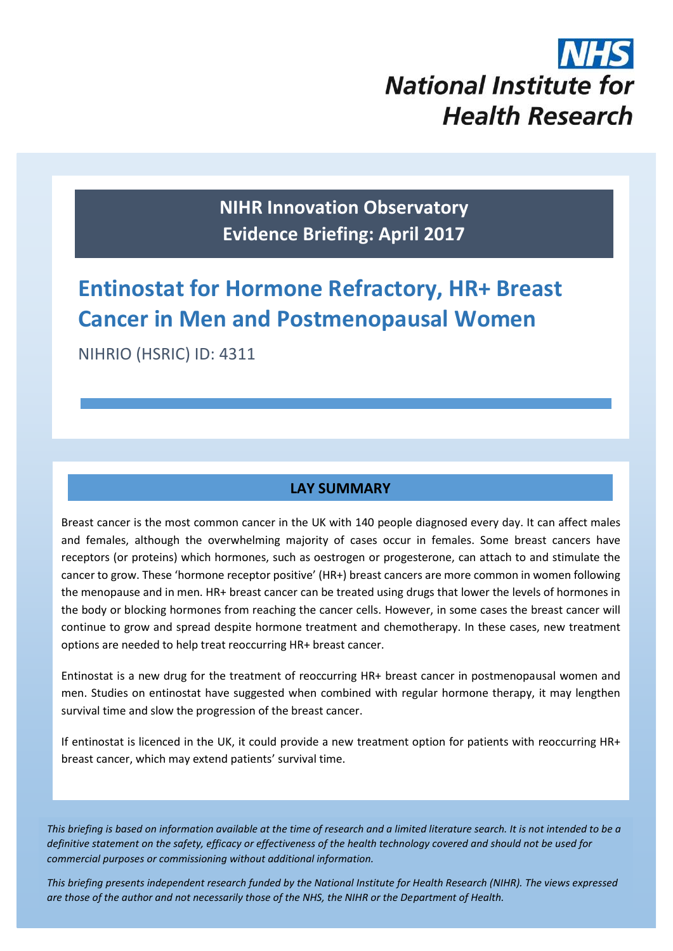# **National Institute for Health Research**

**NIHR Innovation Observatory Evidence Briefing: April 2017**

# **Entinostat for Hormone Refractory, HR+ Breast Cancer in Men and Postmenopausal Women**

NIHRIO (HSRIC) ID: 4311

# **LAY SUMMARY**

Breast cancer is the most common cancer in the UK with 140 people diagnosed every day. It can affect males and females, although the overwhelming majority of cases occur in females. Some breast cancers have receptors (or proteins) which hormones, such as oestrogen or progesterone, can attach to and stimulate the cancer to grow. These 'hormone receptor positive' (HR+) breast cancers are more common in women following the menopause and in men. HR+ breast cancer can be treated using drugs that lower the levels of hormones in the body or blocking hormones from reaching the cancer cells. However, in some cases the breast cancer will continue to grow and spread despite hormone treatment and chemotherapy. In these cases, new treatment options are needed to help treat reoccurring HR+ breast cancer.

Entinostat is a new drug for the treatment of reoccurring HR+ breast cancer in postmenopausal women and men. Studies on entinostat have suggested when combined with regular hormone therapy, it may lengthen survival time and slow the progression of the breast cancer.

If entinostat is licenced in the UK, it could provide a new treatment option for patients with reoccurring HR+ breast cancer, which may extend patients' survival time.

*This briefing is based on information available at the time of research and a limited literature search. It is not intended to be a definitive statement on the safety, efficacy or effectiveness of the health technology covered and should not be used for commercial purposes or commissioning without additional information.*

1 *This briefing presents independent research funded by the National Institute for Health Research (NIHR). The views expressed are those of the author and not necessarily those of the NHS, the NIHR or the Department of Health.*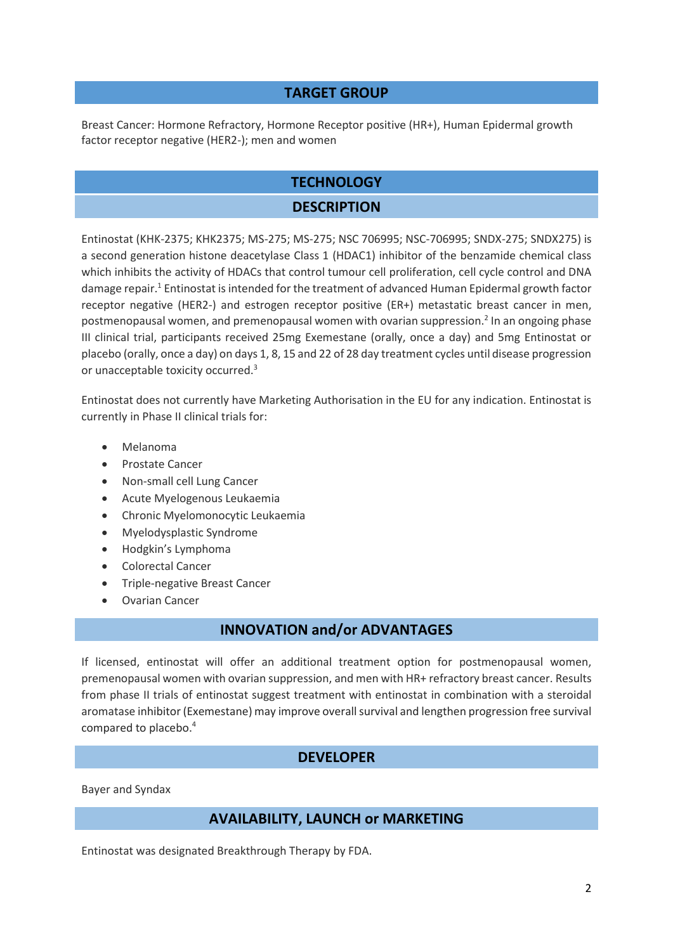#### **TARGET GROUP**

Breast Cancer: Hormone Refractory, Hormone Receptor positive (HR+), Human Epidermal growth factor receptor negative (HER2-); men and women

# **TECHNOLOGY**

### **DESCRIPTION**

Entinostat (KHK-2375; KHK2375; MS-275; MS-275; NSC 706995; NSC-706995; SNDX-275; SNDX275) is a second generation histone deacetylase Class 1 (HDAC1) inhibitor of the benzamide chemical class which inhibits the activity of HDACs that control tumour cell proliferation, cell cycle control and DNA damage repair.<sup>1</sup> Entinostat is intended for the treatment of advanced Human Epidermal growth factor receptor negative (HER2-) and estrogen receptor positive (ER+) metastatic breast cancer in men, postmenopausal women, and premenopausal women with ovarian suppression. 2 In an ongoing phase III clinical trial, participants received 25mg Exemestane (orally, once a day) and 5mg Entinostat or placebo (orally, once a day) on days 1, 8, 15 and 22 of 28 day treatment cycles until disease progression or unacceptable toxicity occurred.<sup>3</sup>

Entinostat does not currently have Marketing Authorisation in the EU for any indication. Entinostat is currently in Phase II clinical trials for:

- Melanoma
- Prostate Cancer
- Non-small cell Lung Cancer
- Acute Myelogenous Leukaemia
- Chronic Myelomonocytic Leukaemia
- Myelodysplastic Syndrome
- Hodgkin's Lymphoma
- Colorectal Cancer
- Triple-negative Breast Cancer
- Ovarian Cancer

#### **INNOVATION and/or ADVANTAGES**

If licensed, entinostat will offer an additional treatment option for postmenopausal women, premenopausal women with ovarian suppression, and men with HR+ refractory breast cancer. Results from phase II trials of entinostat suggest treatment with entinostat in combination with a steroidal aromatase inhibitor (Exemestane) may improve overall survival and lengthen progression free survival compared to placebo. 4

#### **DEVELOPER**

Bayer and Syndax

#### **AVAILABILITY, LAUNCH or MARKETING**

Entinostat was designated Breakthrough Therapy by FDA.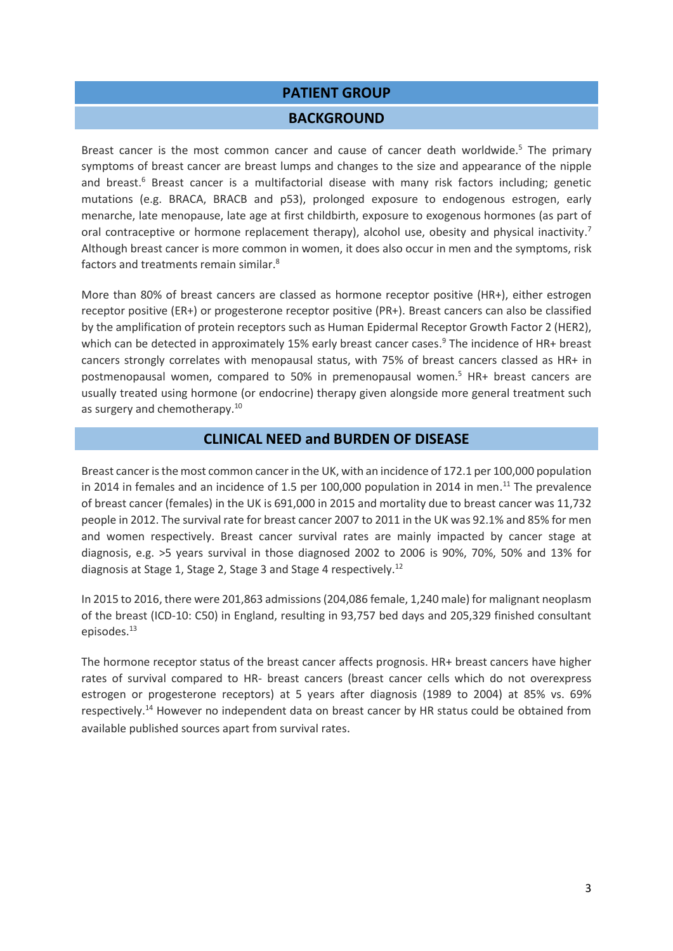#### **PATIENT GROUP**

#### **BACKGROUND**

Breast cancer is the most common cancer and cause of cancer death worldwide.<sup>5</sup> The primary symptoms of breast cancer are breast lumps and changes to the size and appearance of the nipple and breast.<sup>6</sup> Breast cancer is a multifactorial disease with many risk factors including; genetic mutations (e.g. BRACA, BRACB and p53), prolonged exposure to endogenous estrogen, early menarche, late menopause, late age at first childbirth, exposure to exogenous hormones (as part of oral contraceptive or hormone replacement therapy), alcohol use, obesity and physical inactivity.<sup>7</sup> Although breast cancer is more common in women, it does also occur in men and the symptoms, risk factors and treatments remain similar.<sup>8</sup>

More than 80% of breast cancers are classed as hormone receptor positive (HR+), either estrogen receptor positive (ER+) or progesterone receptor positive (PR+). Breast cancers can also be classified by the amplification of protein receptors such as Human Epidermal Receptor Growth Factor 2 (HER2), which can be detected in approximately 15% early breast cancer cases.<sup>9</sup> The incidence of HR+ breast cancers strongly correlates with menopausal status, with 75% of breast cancers classed as HR+ in postmenopausal women, compared to 50% in premenopausal women. <sup>5</sup> HR+ breast cancers are usually treated using hormone (or endocrine) therapy given alongside more general treatment such as surgery and chemotherapy.<sup>10</sup>

#### **CLINICAL NEED and BURDEN OF DISEASE**

Breast cancer is the most common cancer in the UK, with an incidence of 172.1 per 100,000 population in 2014 in females and an incidence of 1.5 per 100,000 population in 2014 in men.<sup>11</sup> The prevalence of breast cancer (females) in the UK is 691,000 in 2015 and mortality due to breast cancer was 11,732 people in 2012. The survival rate for breast cancer 2007 to 2011 in the UK was 92.1% and 85% for men and women respectively. Breast cancer survival rates are mainly impacted by cancer stage at diagnosis, e.g. >5 years survival in those diagnosed 2002 to 2006 is 90%, 70%, 50% and 13% for diagnosis at Stage 1, Stage 2, Stage 3 and Stage 4 respectively.<sup>12</sup>

In 2015 to 2016, there were 201,863 admissions (204,086 female, 1,240 male) for malignant neoplasm of the breast (ICD-10: C50) in England, resulting in 93,757 bed days and 205,329 finished consultant episodes. 13

The hormone receptor status of the breast cancer affects prognosis. HR+ breast cancers have higher rates of survival compared to HR- breast cancers (breast cancer cells which do not overexpress estrogen or progesterone receptors) at 5 years after diagnosis (1989 to 2004) at 85% vs. 69% respectively.<sup>14</sup> However no independent data on breast cancer by HR status could be obtained from available published sources apart from survival rates.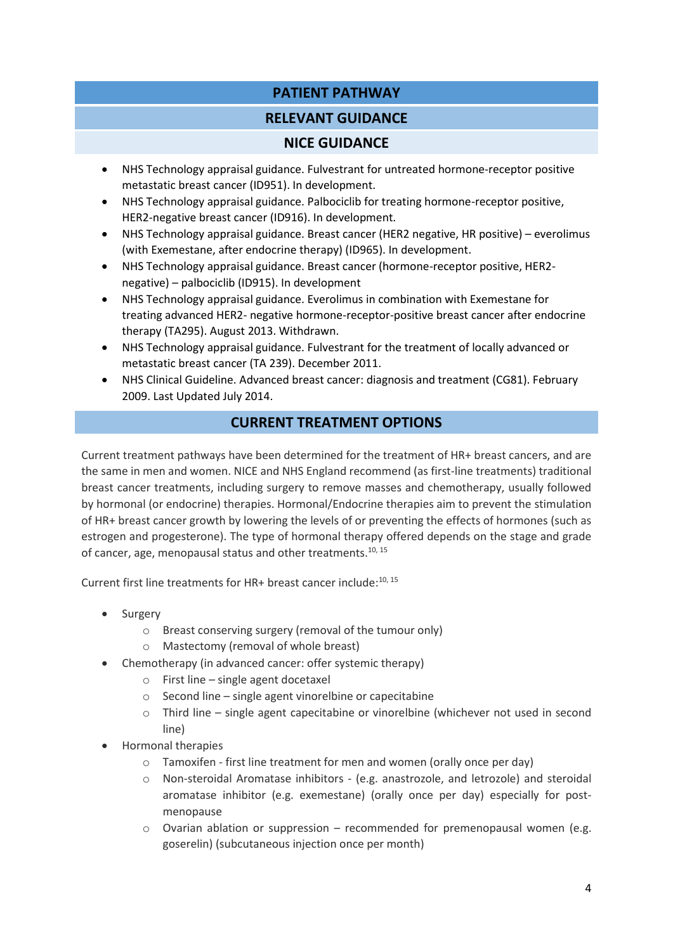# **PATIENT PATHWAY**

# **RELEVANT GUIDANCE**

# **NICE GUIDANCE**

- NHS Technology appraisal guidance. Fulvestrant for untreated hormone-receptor positive metastatic breast cancer (ID951). In development.
- NHS Technology appraisal guidance. Palbociclib for treating hormone-receptor positive, HER2-negative breast cancer (ID916). In development.
- NHS Technology appraisal guidance. Breast cancer (HER2 negative, HR positive) everolimus (with Exemestane, after endocrine therapy) (ID965). In development.
- NHS Technology appraisal guidance. Breast cancer (hormone-receptor positive, HER2 negative) – palbociclib (ID915). In development
- NHS Technology appraisal guidance. Everolimus in combination with Exemestane for treating advanced HER2- negative hormone-receptor-positive breast cancer after endocrine therapy (TA295). August 2013. Withdrawn.
- NHS Technology appraisal guidance. Fulvestrant for the treatment of locally advanced or metastatic breast cancer (TA 239). December 2011.
- NHS Clinical Guideline. Advanced breast cancer: diagnosis and treatment (CG81). February 2009. Last Updated July 2014.

# **CURRENT TREATMENT OPTIONS**

Current treatment pathways have been determined for the treatment of HR+ breast cancers, and are the same in men and women. NICE and NHS England recommend (as first-line treatments) traditional breast cancer treatments, including surgery to remove masses and chemotherapy, usually followed by hormonal (or endocrine) therapies. Hormonal/Endocrine therapies aim to prevent the stimulation of HR+ breast cancer growth by lowering the levels of or preventing the effects of hormones (such as estrogen and progesterone). The type of hormonal therapy offered depends on the stage and grade of cancer, age, menopausal status and other treatments.<sup>10, 15</sup>

Current first line treatments for HR+ breast cancer include:<sup>10, 15</sup>

- Surgery
	- o Breast conserving surgery (removal of the tumour only)
	- o Mastectomy (removal of whole breast)
- Chemotherapy (in advanced cancer: offer systemic therapy)
	- o First line single agent docetaxel
	- o Second line single agent vinorelbine or capecitabine
	- o Third line single agent capecitabine or vinorelbine (whichever not used in second line)
- Hormonal therapies
	- o Tamoxifen first line treatment for men and women (orally once per day)
	- o Non-steroidal Aromatase inhibitors (e.g. anastrozole, and letrozole) and steroidal aromatase inhibitor (e.g. exemestane) (orally once per day) especially for postmenopause
	- $\circ$  Ovarian ablation or suppression recommended for premenopausal women (e.g. goserelin) (subcutaneous injection once per month)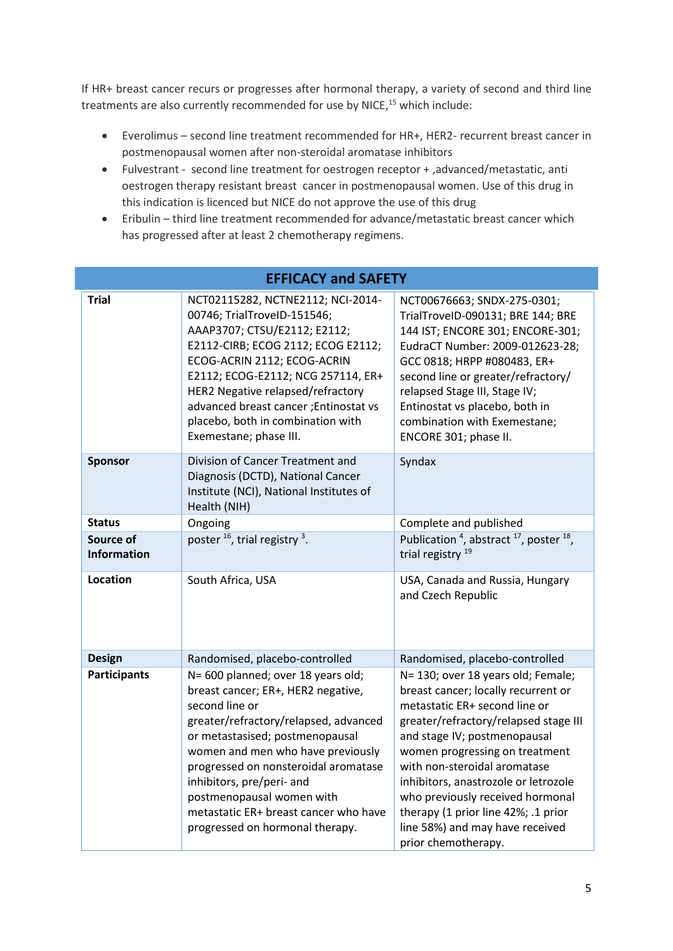If HR+ breast cancer recurs or progresses after hormonal therapy, a variety of second and third line treatments are also currently recommended for use by NICE, <sup>15</sup> which include:

- Everolimus second line treatment recommended for HR+, HER2- recurrent breast cancer in postmenopausal women after non-steroidal aromatase inhibitors
- Fulvestrant second line treatment for oestrogen receptor + ,advanced/metastatic, anti oestrogen therapy resistant breast cancer in postmenopausal women. Use of this drug in this indication is licenced but NICE do not approve the use of this drug
- Eribulin third line treatment recommended for advance/metastatic breast cancer which has progressed after at least 2 chemotherapy regimens.

| <b>EFFICACY and SAFETY</b>                                                                                                                                                                                                                                                                                                                                                                                       |                                                                                                                                                                                                                                                                                                                                                          |                                                                                                                                                                                                                                                                                                                                                                                                                                    |  |  |  |
|------------------------------------------------------------------------------------------------------------------------------------------------------------------------------------------------------------------------------------------------------------------------------------------------------------------------------------------------------------------------------------------------------------------|----------------------------------------------------------------------------------------------------------------------------------------------------------------------------------------------------------------------------------------------------------------------------------------------------------------------------------------------------------|------------------------------------------------------------------------------------------------------------------------------------------------------------------------------------------------------------------------------------------------------------------------------------------------------------------------------------------------------------------------------------------------------------------------------------|--|--|--|
| <b>Trial</b>                                                                                                                                                                                                                                                                                                                                                                                                     | NCT02115282, NCTNE2112; NCI-2014-<br>00746; TrialTroveID-151546;<br>AAAP3707; CTSU/E2112; E2112;<br>E2112-CIRB; ECOG 2112; ECOG E2112;<br>ECOG-ACRIN 2112; ECOG-ACRIN<br>E2112; ECOG-E2112; NCG 257114, ER+<br>HER2 Negative relapsed/refractory<br>advanced breast cancer; Entinostat vs<br>placebo, both in combination with<br>Exemestane; phase III. | NCT00676663; SNDX-275-0301;<br>TrialTroveID-090131; BRE 144; BRE<br>144 IST; ENCORE 301; ENCORE-301;<br>EudraCT Number: 2009-012623-28;<br>GCC 0818; HRPP #080483, ER+<br>second line or greater/refractory/<br>relapsed Stage III, Stage IV;<br>Entinostat vs placebo, both in<br>combination with Exemestane;<br>ENCORE 301; phase II.                                                                                           |  |  |  |
| <b>Sponsor</b>                                                                                                                                                                                                                                                                                                                                                                                                   | Division of Cancer Treatment and<br>Diagnosis (DCTD), National Cancer<br>Institute (NCI), National Institutes of<br>Health (NIH)                                                                                                                                                                                                                         | Syndax                                                                                                                                                                                                                                                                                                                                                                                                                             |  |  |  |
| <b>Status</b>                                                                                                                                                                                                                                                                                                                                                                                                    | Ongoing                                                                                                                                                                                                                                                                                                                                                  | Complete and published                                                                                                                                                                                                                                                                                                                                                                                                             |  |  |  |
| Source of<br><b>Information</b>                                                                                                                                                                                                                                                                                                                                                                                  | poster $^{16}$ , trial registry $^3$ .                                                                                                                                                                                                                                                                                                                   | Publication <sup>4</sup> , abstract <sup>17</sup> , poster <sup>18</sup> ,<br>trial registry <sup>19</sup>                                                                                                                                                                                                                                                                                                                         |  |  |  |
| Location                                                                                                                                                                                                                                                                                                                                                                                                         | South Africa, USA                                                                                                                                                                                                                                                                                                                                        | USA, Canada and Russia, Hungary<br>and Czech Republic                                                                                                                                                                                                                                                                                                                                                                              |  |  |  |
| <b>Design</b>                                                                                                                                                                                                                                                                                                                                                                                                    | Randomised, placebo-controlled                                                                                                                                                                                                                                                                                                                           | Randomised, placebo-controlled                                                                                                                                                                                                                                                                                                                                                                                                     |  |  |  |
| <b>Participants</b><br>N= 600 planned; over 18 years old;<br>breast cancer; ER+, HER2 negative,<br>second line or<br>greater/refractory/relapsed, advanced<br>or metastasised; postmenopausal<br>women and men who have previously<br>progressed on nonsteroidal aromatase<br>inhibitors, pre/peri- and<br>postmenopausal women with<br>metastatic ER+ breast cancer who have<br>progressed on hormonal therapy. |                                                                                                                                                                                                                                                                                                                                                          | N= 130; over 18 years old; Female;<br>breast cancer; locally recurrent or<br>metastatic ER+ second line or<br>greater/refractory/relapsed stage III<br>and stage IV; postmenopausal<br>women progressing on treatment<br>with non-steroidal aromatase<br>inhibitors, anastrozole or letrozole<br>who previously received hormonal<br>therapy (1 prior line 42%; .1 prior<br>line 58%) and may have received<br>prior chemotherapy. |  |  |  |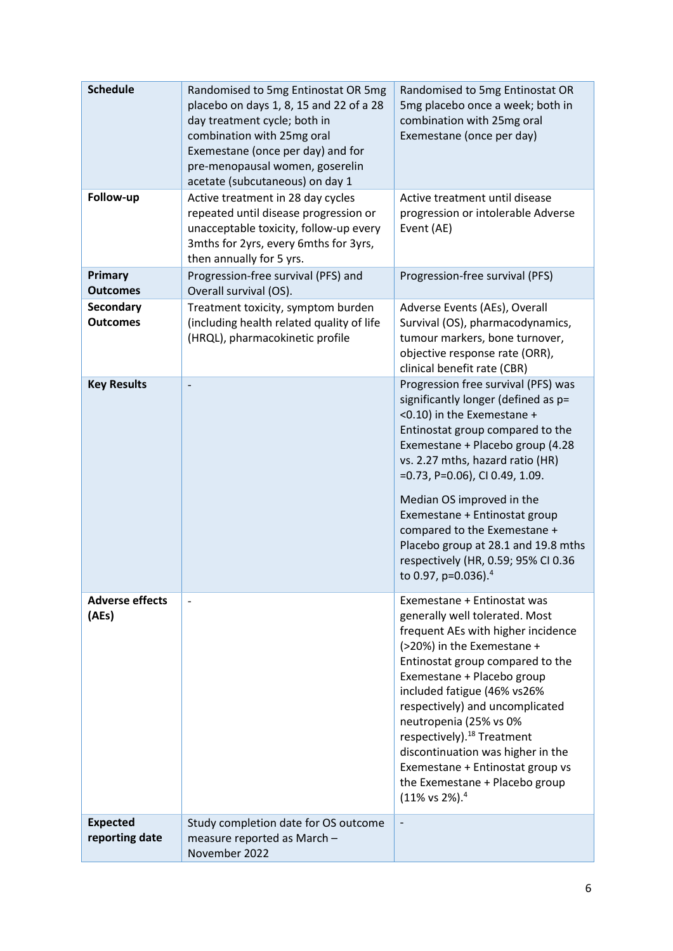| <b>Schedule</b>                     | Randomised to 5mg Entinostat OR 5mg<br>placebo on days 1, 8, 15 and 22 of a 28<br>day treatment cycle; both in<br>combination with 25mg oral<br>Exemestane (once per day) and for<br>pre-menopausal women, goserelin<br>acetate (subcutaneous) on day 1 | Randomised to 5mg Entinostat OR<br>5mg placebo once a week; both in<br>combination with 25mg oral<br>Exemestane (once per day)                                                                                                                                                                                                                                                                                                                                                                 |
|-------------------------------------|---------------------------------------------------------------------------------------------------------------------------------------------------------------------------------------------------------------------------------------------------------|------------------------------------------------------------------------------------------------------------------------------------------------------------------------------------------------------------------------------------------------------------------------------------------------------------------------------------------------------------------------------------------------------------------------------------------------------------------------------------------------|
| Follow-up                           | Active treatment in 28 day cycles<br>repeated until disease progression or<br>unacceptable toxicity, follow-up every<br>3mths for 2yrs, every 6mths for 3yrs,<br>then annually for 5 yrs.                                                               | Active treatment until disease<br>progression or intolerable Adverse<br>Event (AE)                                                                                                                                                                                                                                                                                                                                                                                                             |
| Primary<br><b>Outcomes</b>          | Progression-free survival (PFS) and<br>Overall survival (OS).                                                                                                                                                                                           | Progression-free survival (PFS)                                                                                                                                                                                                                                                                                                                                                                                                                                                                |
| <b>Secondary</b><br><b>Outcomes</b> | Treatment toxicity, symptom burden<br>(including health related quality of life<br>(HRQL), pharmacokinetic profile                                                                                                                                      | Adverse Events (AEs), Overall<br>Survival (OS), pharmacodynamics,<br>tumour markers, bone turnover,<br>objective response rate (ORR),<br>clinical benefit rate (CBR)                                                                                                                                                                                                                                                                                                                           |
| <b>Key Results</b>                  |                                                                                                                                                                                                                                                         | Progression free survival (PFS) was<br>significantly longer (defined as p=<br><0.10) in the Exemestane +<br>Entinostat group compared to the<br>Exemestane + Placebo group (4.28<br>vs. 2.27 mths, hazard ratio (HR)<br>$=0.73$ , P $=0.06$ ), CI 0.49, 1.09.<br>Median OS improved in the<br>Exemestane + Entinostat group<br>compared to the Exemestane +<br>Placebo group at 28.1 and 19.8 mths<br>respectively (HR, 0.59; 95% CI 0.36<br>to 0.97, p=0.036). <sup>4</sup>                   |
| <b>Adverse effects</b><br>(AEs)     |                                                                                                                                                                                                                                                         | Exemestane + Entinostat was<br>generally well tolerated. Most<br>frequent AEs with higher incidence<br>(>20%) in the Exemestane +<br>Entinostat group compared to the<br>Exemestane + Placebo group<br>included fatigue (46% vs26%<br>respectively) and uncomplicated<br>neutropenia (25% vs 0%<br>respectively). <sup>18</sup> Treatment<br>discontinuation was higher in the<br>Exemestane + Entinostat group vs<br>the Exemestane + Placebo group<br>$(11\% \text{ vs } 2\%).$ <sup>4</sup> |
| <b>Expected</b><br>reporting date   | Study completion date for OS outcome<br>measure reported as March -<br>November 2022                                                                                                                                                                    |                                                                                                                                                                                                                                                                                                                                                                                                                                                                                                |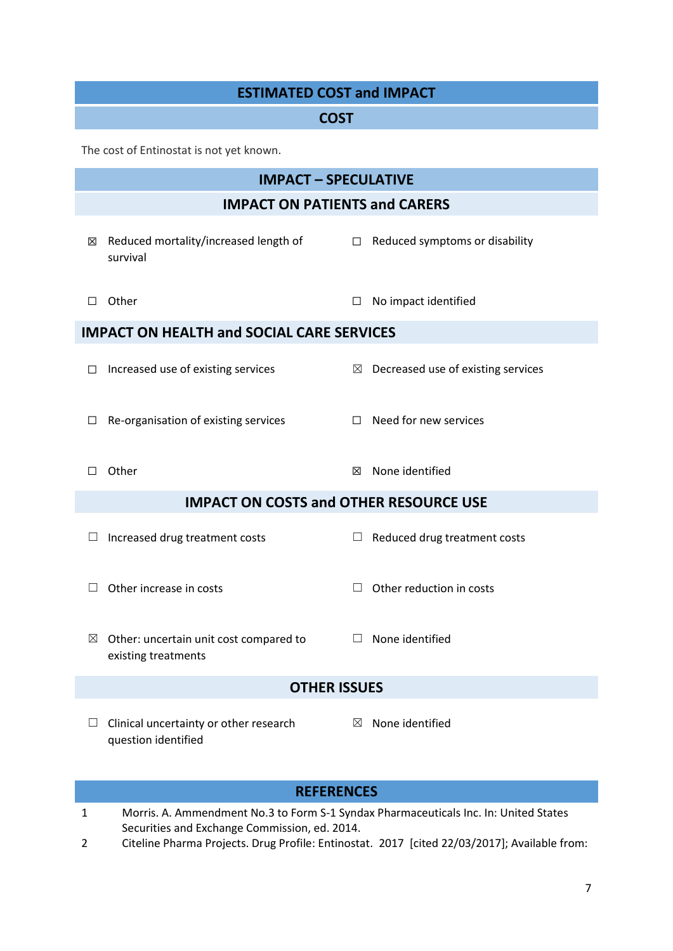# **ESTIMATED COST and IMPACT**

#### **COST**

The cost of Entinostat is not yet known.

|                                                  | <b>IMPACT - SPECULATIVE</b>                                   |             |                                    |  |  |  |
|--------------------------------------------------|---------------------------------------------------------------|-------------|------------------------------------|--|--|--|
| <b>IMPACT ON PATIENTS and CARERS</b>             |                                                               |             |                                    |  |  |  |
| ⊠                                                | Reduced mortality/increased length of<br>survival             | $\Box$      | Reduced symptoms or disability     |  |  |  |
| П                                                | Other                                                         | □           | No impact identified               |  |  |  |
| <b>IMPACT ON HEALTH and SOCIAL CARE SERVICES</b> |                                                               |             |                                    |  |  |  |
| ப                                                | Increased use of existing services                            | $\boxtimes$ | Decreased use of existing services |  |  |  |
| ⊔                                                | Re-organisation of existing services                          | $\Box$      | Need for new services              |  |  |  |
| $\Box$                                           | Other                                                         | ⊠           | None identified                    |  |  |  |
| <b>IMPACT ON COSTS and OTHER RESOURCE USE</b>    |                                                               |             |                                    |  |  |  |
|                                                  | Increased drug treatment costs                                | ப           | Reduced drug treatment costs       |  |  |  |
|                                                  | Other increase in costs                                       | $\Box$      | Other reduction in costs           |  |  |  |
| $\boxtimes$                                      | Other: uncertain unit cost compared to<br>existing treatments | $\Box$      | None identified                    |  |  |  |
| <b>OTHER ISSUES</b>                              |                                                               |             |                                    |  |  |  |
|                                                  | Clinical uncertainty or other research<br>question identified | $\boxtimes$ | None identified                    |  |  |  |
| <b>REFERENCES</b>                                |                                                               |             |                                    |  |  |  |

- 1 Morris. A. Ammendment No.3 to Form S-1 Syndax Pharmaceuticals Inc. In: United States Securities and Exchange Commission, ed. 2014.
- 2 Citeline Pharma Projects. Drug Profile: Entinostat. 2017 [cited 22/03/2017]; Available from: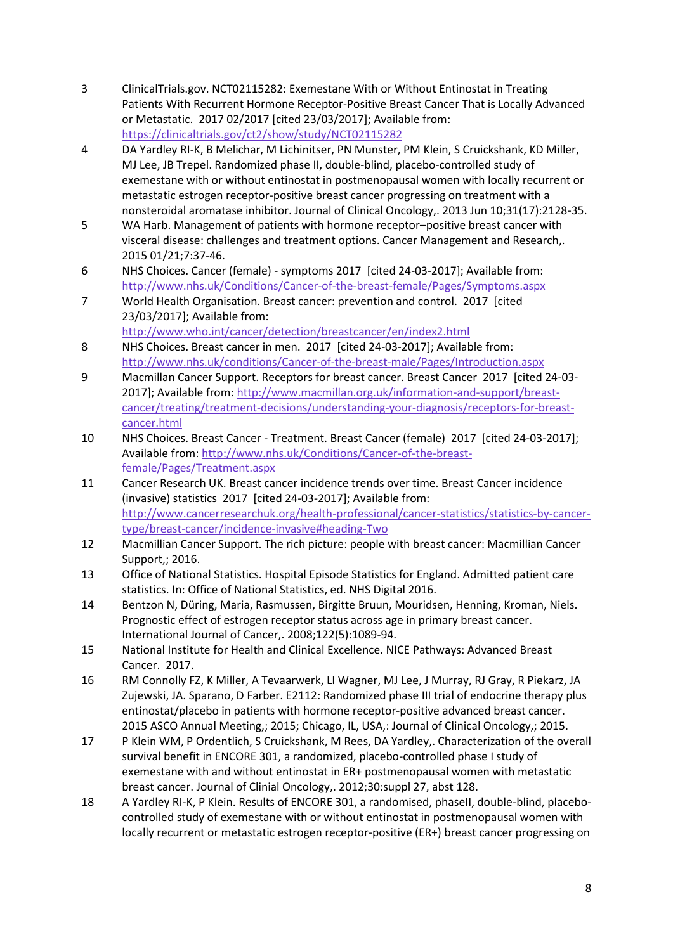- 3 ClinicalTrials.gov. NCT02115282: Exemestane With or Without Entinostat in Treating Patients With Recurrent Hormone Receptor-Positive Breast Cancer That is Locally Advanced or Metastatic. 2017 02/2017 [cited 23/03/2017]; Available from: <https://clinicaltrials.gov/ct2/show/study/NCT02115282>
- 4 DA Yardley RI-K, B Melichar, M Lichinitser, PN Munster, PM Klein, S Cruickshank, KD Miller, MJ Lee, JB Trepel. Randomized phase II, double-blind, placebo-controlled study of exemestane with or without entinostat in postmenopausal women with locally recurrent or metastatic estrogen receptor-positive breast cancer progressing on treatment with a nonsteroidal aromatase inhibitor. Journal of Clinical Oncology,. 2013 Jun 10;31(17):2128-35.
- 5 WA Harb. Management of patients with hormone receptor–positive breast cancer with visceral disease: challenges and treatment options. Cancer Management and Research,. 2015 01/21;7:37-46.
- 6 NHS Choices. Cancer (female) symptoms 2017 [cited 24-03-2017]; Available from: <http://www.nhs.uk/Conditions/Cancer-of-the-breast-female/Pages/Symptoms.aspx>
- 7 World Health Organisation. Breast cancer: prevention and control. 2017 [cited 23/03/2017]; Available from:

<http://www.who.int/cancer/detection/breastcancer/en/index2.html>

- 8 NHS Choices. Breast cancer in men. 2017 [cited 24-03-2017]; Available from: <http://www.nhs.uk/conditions/Cancer-of-the-breast-male/Pages/Introduction.aspx>
- 9 Macmillan Cancer Support. Receptors for breast cancer. Breast Cancer 2017 [cited 24-03- 2017]; Available from[: http://www.macmillan.org.uk/information-and-support/breast](http://www.macmillan.org.uk/information-and-support/breast-cancer/treating/treatment-decisions/understanding-your-diagnosis/receptors-for-breast-cancer.html)[cancer/treating/treatment-decisions/understanding-your-diagnosis/receptors-for-breast](http://www.macmillan.org.uk/information-and-support/breast-cancer/treating/treatment-decisions/understanding-your-diagnosis/receptors-for-breast-cancer.html)[cancer.html](http://www.macmillan.org.uk/information-and-support/breast-cancer/treating/treatment-decisions/understanding-your-diagnosis/receptors-for-breast-cancer.html)
- 10 NHS Choices. Breast Cancer Treatment. Breast Cancer (female) 2017 [cited 24-03-2017]; Available from[: http://www.nhs.uk/Conditions/Cancer-of-the-breast](http://www.nhs.uk/Conditions/Cancer-of-the-breast-female/Pages/Treatment.aspx)[female/Pages/Treatment.aspx](http://www.nhs.uk/Conditions/Cancer-of-the-breast-female/Pages/Treatment.aspx)
- 11 Cancer Research UK. Breast cancer incidence trends over time. Breast Cancer incidence (invasive) statistics 2017 [cited 24-03-2017]; Available from: [http://www.cancerresearchuk.org/health-professional/cancer-statistics/statistics-by-cancer](http://www.cancerresearchuk.org/health-professional/cancer-statistics/statistics-by-cancer-type/breast-cancer/incidence-invasive#heading-Two)[type/breast-cancer/incidence-invasive#heading-Two](http://www.cancerresearchuk.org/health-professional/cancer-statistics/statistics-by-cancer-type/breast-cancer/incidence-invasive#heading-Two)
- 12 Macmillian Cancer Support. The rich picture: people with breast cancer: Macmillian Cancer Support,; 2016.
- 13 Office of National Statistics. Hospital Episode Statistics for England. Admitted patient care statistics. In: Office of National Statistics, ed. NHS Digital 2016.
- 14 Bentzon N, Düring, Maria, Rasmussen, Birgitte Bruun, Mouridsen, Henning, Kroman, Niels. Prognostic effect of estrogen receptor status across age in primary breast cancer. International Journal of Cancer,. 2008;122(5):1089-94.
- 15 National Institute for Health and Clinical Excellence. NICE Pathways: Advanced Breast Cancer. 2017.
- 16 RM Connolly FZ, K Miller, A Tevaarwerk, LI Wagner, MJ Lee, J Murray, RJ Gray, R Piekarz, JA Zujewski, JA. Sparano, D Farber. E2112: Randomized phase III trial of endocrine therapy plus entinostat/placebo in patients with hormone receptor-positive advanced breast cancer. 2015 ASCO Annual Meeting,; 2015; Chicago, IL, USA,: Journal of Clinical Oncology,; 2015.
- 17 P Klein WM, P Ordentlich, S Cruickshank, M Rees, DA Yardley,. Characterization of the overall survival benefit in ENCORE 301, a randomized, placebo-controlled phase I study of exemestane with and without entinostat in ER+ postmenopausal women with metastatic breast cancer. Journal of Clinial Oncology,. 2012;30:suppl 27, abst 128.
- 18 A Yardley RI-K, P Klein. Results of ENCORE 301, a randomised, phaseII, double-blind, placebocontrolled study of exemestane with or without entinostat in postmenopausal women with locally recurrent or metastatic estrogen receptor-positive (ER+) breast cancer progressing on